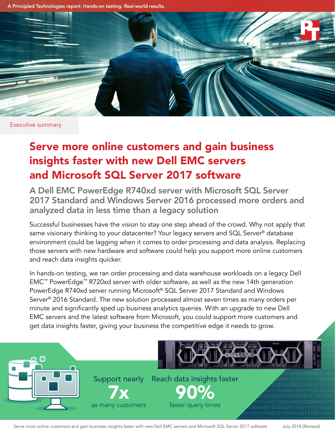A Principled Technologies report: Hands-on testing. Real-world results.



Executive summary

# Serve more online customers and gain business insights faster with new Dell EMC servers and Microsoft SQL Server 2017 software

A Dell EMC PowerEdge R740xd server with Microsoft SQL Server 2017 Standard and Windows Server 2016 processed more orders and analyzed data in less time than a legacy solution

Successful businesses have the vision to stay one step ahead of the crowd. Why not apply that same visionary thinking to your datacenter? Your legacy servers and SQL Server<sup>®</sup> database environment could be lagging when it comes to order processing and data analysis. Replacing those servers with new hardware and software could help you support more online customers and reach data insights quicker.

In hands-on testing, we ran order processing and data warehouse workloads on a legacy Dell EMC™ PowerEdge™ R720xd server with older software, as well as the new 14th generation PowerEdge R740xd server running Microsoft® SQL Server 2017 Standard and Windows Server® 2016 Standard. The new solution processed almost seven times as many orders per minute and significantly sped up business analytics queries. With an upgrade to new Dell EMC servers and the latest software from Microsoft, you could support more customers and get data insights faster, giving your business the competitive edge it needs to grow.  $\frac{1}{100}$ 



Serve more online customers and gain business insights faster with new Dell EMC servers and Microsoft SQL Server 2017 software July 2018 (Revised) 1101001011100110110010101100100001000000110

111011101<br>1

1001110110100001110100001011010110000101110  $00$